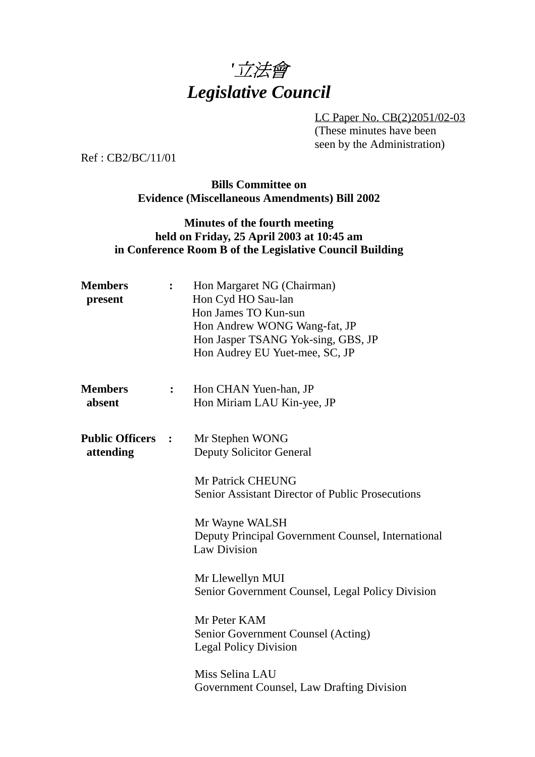

LC Paper No. CB(2)2051/02-03 (These minutes have been seen by the Administration)

Ref : CB2/BC/11/01

**Bills Committee on Evidence (Miscellaneous Amendments) Bill 2002**

### **Minutes of the fourth meeting held on Friday, 25 April 2003 at 10:45 am in Conference Room B of the Legislative Council Building**

| <b>Members</b><br>present           |                  | Hon Margaret NG (Chairman)<br>Hon Cyd HO Sau-lan<br>Hon James TO Kun-sun<br>Hon Andrew WONG Wang-fat, JP<br>Hon Jasper TSANG Yok-sing, GBS, JP<br>Hon Audrey EU Yuet-mee, SC, JP |
|-------------------------------------|------------------|----------------------------------------------------------------------------------------------------------------------------------------------------------------------------------|
| <b>Members</b><br>absent            | $\ddot{\bullet}$ | Hon CHAN Yuen-han, JP<br>Hon Miriam LAU Kin-yee, JP                                                                                                                              |
| <b>Public Officers</b><br>attending | $\mathbf{L}$     | Mr Stephen WONG<br><b>Deputy Solicitor General</b>                                                                                                                               |
|                                     |                  | <b>Mr Patrick CHEUNG</b><br><b>Senior Assistant Director of Public Prosecutions</b>                                                                                              |
|                                     |                  | Mr Wayne WALSH<br>Deputy Principal Government Counsel, International<br><b>Law Division</b>                                                                                      |
|                                     |                  | Mr Llewellyn MUI<br>Senior Government Counsel, Legal Policy Division                                                                                                             |
|                                     |                  | Mr Peter KAM<br>Senior Government Counsel (Acting)<br><b>Legal Policy Division</b>                                                                                               |
|                                     |                  | Miss Selina LAU<br>Government Counsel, Law Drafting Division                                                                                                                     |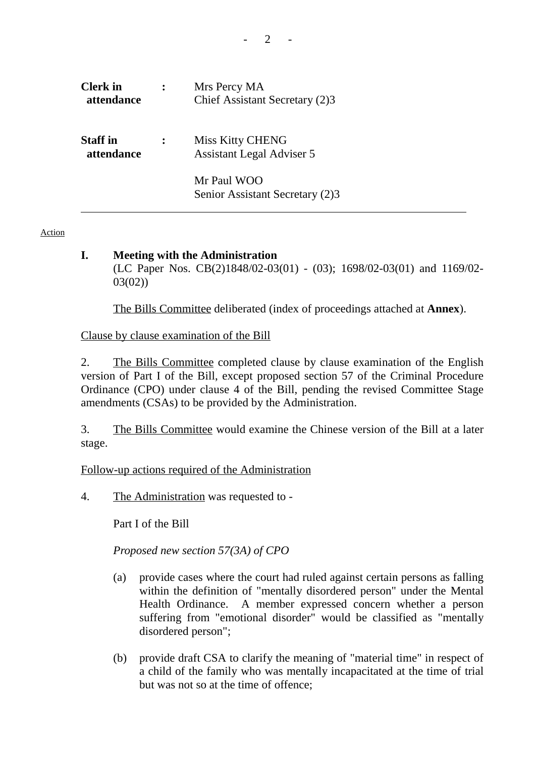| <b>Clerk</b> in<br>attendance | Mrs Percy MA<br>Chief Assistant Secretary (2)3              |
|-------------------------------|-------------------------------------------------------------|
| <b>Staff</b> in<br>attendance | <b>Miss Kitty CHENG</b><br><b>Assistant Legal Adviser 5</b> |
|                               | Mr Paul WOO<br>Senior Assistant Secretary (2)3              |

#### Action

#### **I. Meeting with the Administration**

(LC Paper Nos. CB(2)1848/02-03(01) - (03); 1698/02-03(01) and 1169/02- 03(02))

1. The Bills Committee deliberated (index of proceedings attached at **Annex**).

Clause by clause examination of the Bill

2. The Bills Committee completed clause by clause examination of the English version of Part I of the Bill, except proposed section 57 of the Criminal Procedure Ordinance (CPO) under clause 4 of the Bill, pending the revised Committee Stage amendments (CSAs) to be provided by the Administration.

3. The Bills Committee would examine the Chinese version of the Bill at a later stage.

## Follow-up actions required of the Administration

4. The Administration was requested to -

Part I of the Bill

*Proposed new section 57(3A) of CPO*

- (a) provide cases where the court had ruled against certain persons as falling within the definition of "mentally disordered person" under the Mental Health Ordinance. A member expressed concern whether a person suffering from "emotional disorder" would be classified as "mentally disordered person";
- (b) provide draft CSA to clarify the meaning of "material time" in respect of a child of the family who was mentally incapacitated at the time of trial but was not so at the time of offence;

 $2<sup>-2</sup>$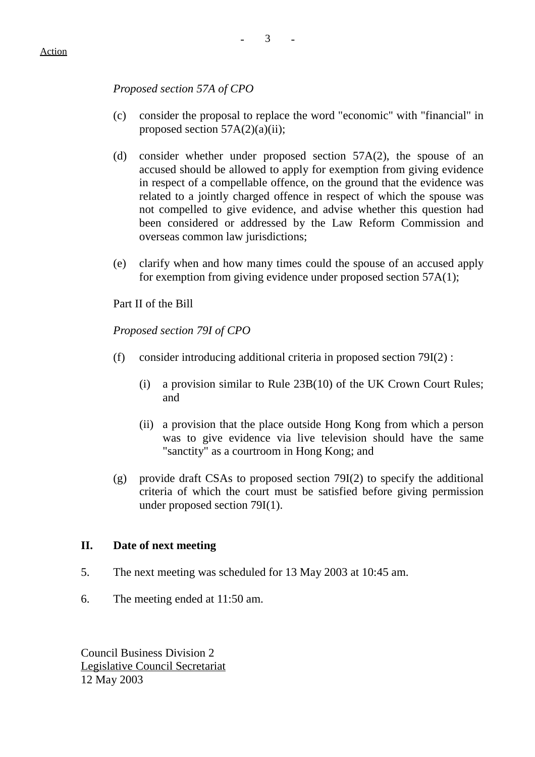### *Proposed section 57A of CPO*

- (c) consider the proposal to replace the word "economic" with "financial" in proposed section  $57A(2)(a)(ii)$ ;
- (d) consider whether under proposed section 57A(2), the spouse of an accused should be allowed to apply for exemption from giving evidence in respect of a compellable offence, on the ground that the evidence was related to a jointly charged offence in respect of which the spouse was not compelled to give evidence, and advise whether this question had been considered or addressed by the Law Reform Commission and overseas common law jurisdictions;
- (e) clarify when and how many times could the spouse of an accused apply for exemption from giving evidence under proposed section 57A(1);

Part II of the Bill

*Proposed section 79I of CPO*

- (f) consider introducing additional criteria in proposed section  $79I(2)$ :
	- (i) a provision similar to Rule 23B(10) of the UK Crown Court Rules; and
	- (ii) a provision that the place outside Hong Kong from which a person was to give evidence via live television should have the same "sanctity" as a courtroom in Hong Kong; and
- (g) provide draft CSAs to proposed section  $79I(2)$  to specify the additional criteria of which the court must be satisfied before giving permission under proposed section 79I(1).

### **II. Date of next meeting**

- 5. The next meeting was scheduled for 13 May 2003 at 10:45 am.
- 6. The meeting ended at 11:50 am.

Council Business Division 2 Legislative Council Secretariat 12 May 2003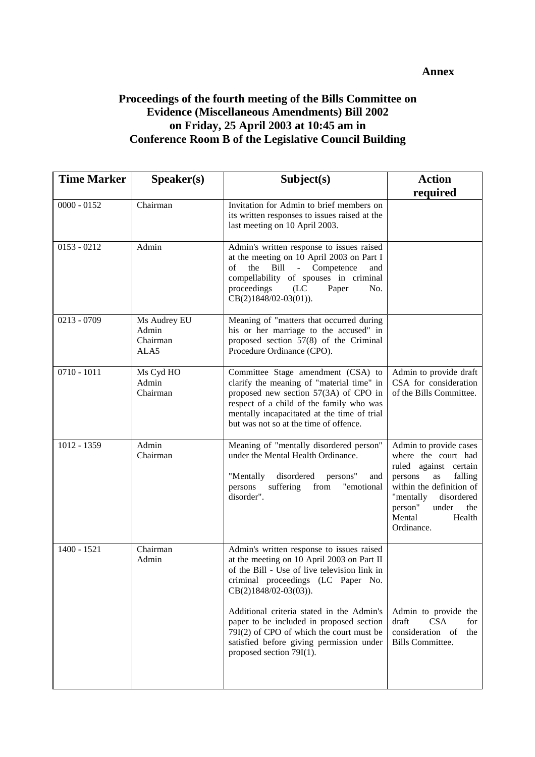#### **Annex**

# **Proceedings of the fourth meeting of the Bills Committee on Evidence (Miscellaneous Amendments) Bill 2002 on Friday, 25 April 2003 at 10:45 am in Conference Room B of the Legislative Council Building**

| <b>Time Marker</b> | Speaker(s)                                | Subject(s)                                                                                                                                                                                                                                                                                                                                                                                                          | <b>Action</b>                                                                                                                                                                                                          |
|--------------------|-------------------------------------------|---------------------------------------------------------------------------------------------------------------------------------------------------------------------------------------------------------------------------------------------------------------------------------------------------------------------------------------------------------------------------------------------------------------------|------------------------------------------------------------------------------------------------------------------------------------------------------------------------------------------------------------------------|
|                    |                                           |                                                                                                                                                                                                                                                                                                                                                                                                                     | required                                                                                                                                                                                                               |
| $0000 - 0152$      | Chairman                                  | Invitation for Admin to brief members on<br>its written responses to issues raised at the<br>last meeting on 10 April 2003.                                                                                                                                                                                                                                                                                         |                                                                                                                                                                                                                        |
| $0153 - 0212$      | Admin                                     | Admin's written response to issues raised<br>at the meeting on 10 April 2003 on Part I<br>$\sigma$ f<br>the<br>Bill - Competence<br>and<br>compellability of spouses in criminal<br>proceedings<br>(LC)<br>Paper<br>No.<br>$CB(2)1848/02-03(01)).$                                                                                                                                                                  |                                                                                                                                                                                                                        |
| $0213 - 0709$      | Ms Audrey EU<br>Admin<br>Chairman<br>ALA5 | Meaning of "matters that occurred during<br>his or her marriage to the accused" in<br>proposed section 57(8) of the Criminal<br>Procedure Ordinance (CPO).                                                                                                                                                                                                                                                          |                                                                                                                                                                                                                        |
| $0710 - 1011$      | Ms Cyd HO<br>Admin<br>Chairman            | Committee Stage amendment (CSA) to<br>clarify the meaning of "material time" in<br>proposed new section 57(3A) of CPO in<br>respect of a child of the family who was<br>mentally incapacitated at the time of trial<br>but was not so at the time of offence.                                                                                                                                                       | Admin to provide draft<br>CSA for consideration<br>of the Bills Committee.                                                                                                                                             |
| 1012 - 1359        | Admin<br>Chairman                         | Meaning of "mentally disordered person"<br>under the Mental Health Ordinance.<br>disordered<br>"Mentally<br>persons"<br>and<br>"emotional<br>persons<br>suffering<br>from<br>disorder".                                                                                                                                                                                                                             | Admin to provide cases<br>where the court had<br>ruled against certain<br>falling<br>persons<br>as<br>within the definition of<br>"mentally<br>disordered<br>person"<br>under<br>the<br>Mental<br>Health<br>Ordinance. |
| 1400 - 1521        | Chairman<br>Admin                         | Admin's written response to issues raised<br>at the meeting on 10 April 2003 on Part II<br>of the Bill - Use of live television link in<br>criminal proceedings (LC Paper No.<br>CB(2)1848/02-03(03)).<br>Additional criteria stated in the Admin's<br>paper to be included in proposed section<br>79I(2) of CPO of which the court must be<br>satisfied before giving permission under<br>proposed section 79I(1). | Admin to provide the<br>draft<br><b>CSA</b><br>for<br>consideration of<br>the<br><b>Bills Committee.</b>                                                                                                               |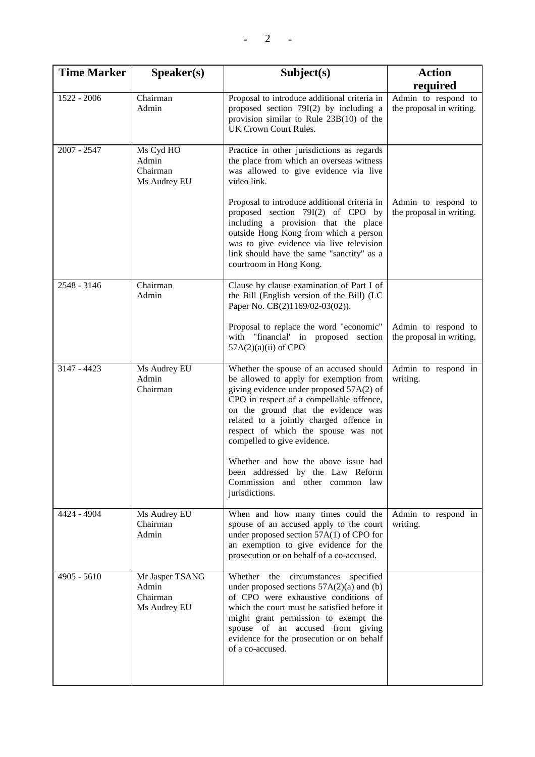| <b>Time Marker</b> | Speaker(s)                                           | Subject(s)                                                                                                                                                                                                                                                                                                                        | <b>Action</b>                                   |
|--------------------|------------------------------------------------------|-----------------------------------------------------------------------------------------------------------------------------------------------------------------------------------------------------------------------------------------------------------------------------------------------------------------------------------|-------------------------------------------------|
|                    |                                                      |                                                                                                                                                                                                                                                                                                                                   | required                                        |
| 1522 - 2006        | Chairman<br>Admin                                    | Proposal to introduce additional criteria in<br>proposed section $79I(2)$ by including a<br>provision similar to Rule $23B(10)$ of the<br>UK Crown Court Rules.                                                                                                                                                                   | Admin to respond to<br>the proposal in writing. |
| 2007 - 2547        | Ms Cyd HO<br>Admin<br>Chairman<br>Ms Audrey EU       | Practice in other jurisdictions as regards<br>the place from which an overseas witness<br>was allowed to give evidence via live<br>video link.                                                                                                                                                                                    |                                                 |
|                    |                                                      | Proposal to introduce additional criteria in<br>proposed section 79I(2) of CPO by<br>including a provision that the place<br>outside Hong Kong from which a person<br>was to give evidence via live television<br>link should have the same "sanctity" as a<br>courtroom in Hong Kong.                                            | Admin to respond to<br>the proposal in writing. |
| 2548 - 3146        | Chairman<br>Admin                                    | Clause by clause examination of Part I of<br>the Bill (English version of the Bill) (LC<br>Paper No. CB(2)1169/02-03(02)).                                                                                                                                                                                                        |                                                 |
|                    |                                                      | Proposal to replace the word "economic"<br>with "financial' in proposed section<br>$57A(2)(a)(ii)$ of CPO                                                                                                                                                                                                                         | Admin to respond to<br>the proposal in writing. |
| 3147 - 4423        | Ms Audrey EU<br>Admin<br>Chairman                    | Whether the spouse of an accused should<br>be allowed to apply for exemption from<br>giving evidence under proposed 57A(2) of<br>CPO in respect of a compellable offence,<br>on the ground that the evidence was<br>related to a jointly charged offence in<br>respect of which the spouse was not<br>compelled to give evidence. | Admin to respond in<br>writing.                 |
|                    |                                                      | Whether and how the above issue had<br>been addressed by the Law Reform<br>Commission and other common law<br>jurisdictions.                                                                                                                                                                                                      |                                                 |
| 4424 - 4904        | Ms Audrey EU<br>Chairman<br>Admin                    | When and how many times could the<br>spouse of an accused apply to the court<br>under proposed section $57A(1)$ of CPO for<br>an exemption to give evidence for the<br>prosecution or on behalf of a co-accused.                                                                                                                  | Admin to respond in<br>writing.                 |
| 4905 - 5610        | Mr Jasper TSANG<br>Admin<br>Chairman<br>Ms Audrey EU | Whether the circumstances<br>specified<br>under proposed sections $57A(2)(a)$ and (b)<br>of CPO were exhaustive conditions of<br>which the court must be satisfied before it<br>might grant permission to exempt the<br>spouse of an accused from giving<br>evidence for the prosecution or on behalf<br>of a co-accused.         |                                                 |